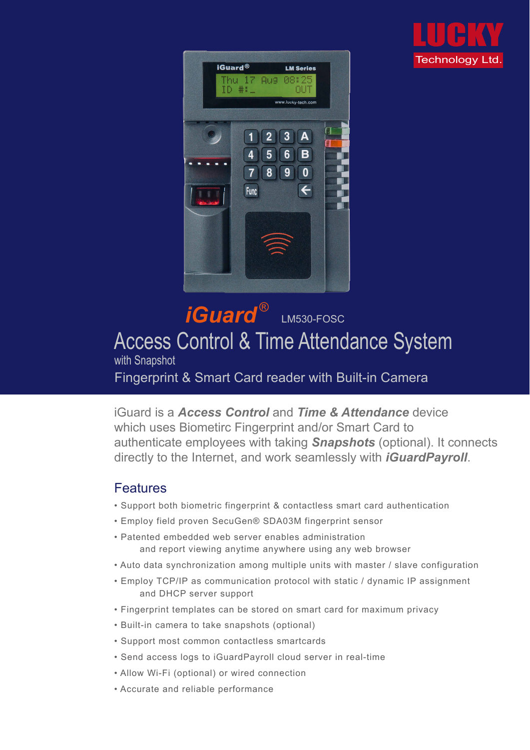### iGuard is a *Access Control* and *Time & Attendance* device which uses Biometirc Fingerprint and/or Smart Card to authenticate employees with taking *Snapshots* (optional). It connects directly to the Internet, and work seamlessly with *iGuardPayroll*.

### Features

## *iGuard* LM530-FOSC Access Control & Time Attendance System with Snapshot Fingerprint & Smart Card reader with Built-in Camera ®

- Support both biometric fingerprint & contactless smart card authentication
- Employ field proven SecuGen® SDA03M fingerprint sensor
- Patented embedded web server enables administration and report viewing anytime anywhere using any web browser
- Auto data synchronization among multiple units with master / slave configuration
- Employ TCP/IP as communication protocol with static / dynamic IP assignment and DHCP server support
- Fingerprint templates can be stored on smart card for maximum privacy
- Built-in camera to take snapshots (optional)
- Support most common contactless smartcards
- Send access logs to iGuardPayroll cloud server in real-time
- Allow Wi-Fi (optional) or wired connection
- Accurate and reliable performance



LUCKY Technology Ltd.